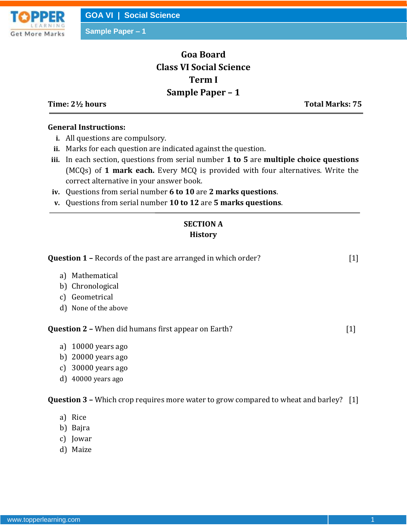

**Sample Paper – 1**

# **Goa Board Class VI Social Science Term I Sample Paper – 1**

**Time: 2½ hours Total Marks: 75**

#### **General Instructions:**

- **i.** All questions are compulsory.
- **ii.** Marks for each question are indicated against the question.
- **iii.** In each section, questions from serial number **1 to 5** are **multiple choice questions** (MCQs) of **1 mark each.** Every MCQ is provided with four alternatives. Write the correct alternative in your answer book.
- **iv.** Questions from serial number **6 to 10** are **2 marks questions**.
- **v.** Questions from serial number **10 to 12** are **5 marks questions**.

## **SECTION A History**

| <b>Question 1 - Records of the past are arranged in which order?</b>                     | $[1]$             |
|------------------------------------------------------------------------------------------|-------------------|
| a) Mathematical                                                                          |                   |
| b) Chronological                                                                         |                   |
| c) Geometrical                                                                           |                   |
| d) None of the above                                                                     |                   |
| <b>Question 2 - When did humans first appear on Earth?</b>                               | $[1]$             |
| a) $10000$ years ago                                                                     |                   |
| b) $20000$ years ago                                                                     |                   |
| c) $30000$ years ago                                                                     |                   |
| $d)$ 40000 years ago                                                                     |                   |
| <b>Question 3 –</b> Which crop requires more water to grow compared to wheat and barley? | $\lceil 1 \rceil$ |
| י הי                                                                                     |                   |

- a) Rice
- b) Bajra
- c) Jowar
- d) Maize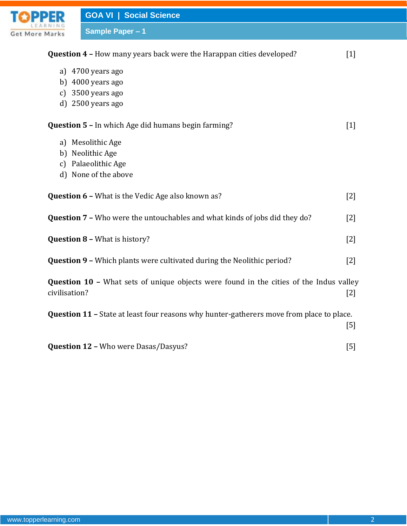|                       | <b>GOA VI   Social Science</b>                                                                                                                   |                   |
|-----------------------|--------------------------------------------------------------------------------------------------------------------------------------------------|-------------------|
| <b>Get More Marks</b> | <b>Sample Paper - 1</b>                                                                                                                          |                   |
|                       | Question 4 - How many years back were the Harappan cities developed?                                                                             | $\lceil 1 \rceil$ |
|                       | a) 4700 years ago<br>b) $4000$ years ago<br>c) 3500 years ago<br>d) 2500 years ago<br><b>Question 5 - In which Age did humans begin farming?</b> | $[1]$             |
|                       | a) Mesolithic Age<br>b) Neolithic Age<br>c) Palaeolithic Age<br>d) None of the above                                                             |                   |
|                       | <b>Question 6 - What is the Vedic Age also known as?</b>                                                                                         | $\lceil 2 \rceil$ |
|                       | Question 7 - Who were the untouchables and what kinds of jobs did they do?                                                                       | $\lceil 2 \rceil$ |
|                       | <b>Question 8 - What is history?</b>                                                                                                             | $[2]$             |
|                       | <b>Question 9 - Which plants were cultivated during the Neolithic period?</b>                                                                    | $[2]$             |
| civilisation?         | <b>Question 10 - What sets of unique objects were found in the cities of the Indus valley</b>                                                    | $[2]$             |
|                       | <b>Question 11 - State at least four reasons why hunter-gatherers move from place to place.</b>                                                  | $[5]$             |
|                       | <b>Question 12 - Who were Dasas/Dasyus?</b>                                                                                                      | $[5]$             |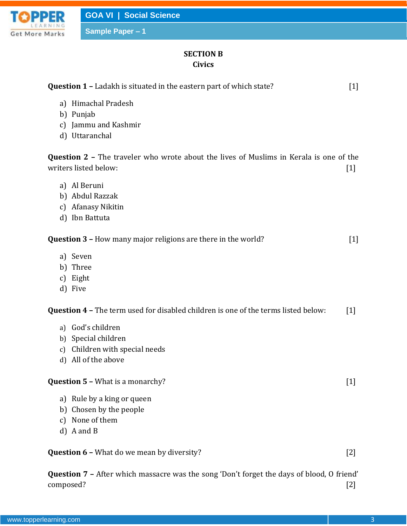

**Sample Paper – 1**

## **SECTION B Civics**

| <b>Question 1 - Ladakh is situated in the eastern part of which state?</b>                                             | $[1]$             |
|------------------------------------------------------------------------------------------------------------------------|-------------------|
| a) Himachal Pradesh<br>b) Punjab                                                                                       |                   |
| Jammu and Kashmir<br>$\mathcal{C}$                                                                                     |                   |
| Uttaranchal<br>d)                                                                                                      |                   |
| <b>Question 2 - The traveler who wrote about the lives of Muslims in Kerala is one of the</b><br>writers listed below: | $[1]$             |
| a) Al Beruni                                                                                                           |                   |
| b) Abdul Razzak                                                                                                        |                   |
| c) Afanasy Nikitin                                                                                                     |                   |
| d) Ibn Battuta                                                                                                         |                   |
| <b>Question 3 - How many major religions are there in the world?</b>                                                   | $\lceil 1 \rceil$ |
| a) Seven                                                                                                               |                   |
| b) Three                                                                                                               |                   |
| Eight<br>$\mathcal{C}$                                                                                                 |                   |
| d) Five                                                                                                                |                   |
| Question 4 - The term used for disabled children is one of the terms listed below:                                     | $\lceil 1 \rceil$ |
| a) God's children                                                                                                      |                   |
| b) Special children                                                                                                    |                   |
| Children with special needs<br>$\mathfrak{c}$ )                                                                        |                   |
| All of the above<br>$\mathbf{d}$                                                                                       |                   |
| <b>Question 5 - What is a monarchy?</b>                                                                                | $[1]$             |
| a) Rule by a king or queen                                                                                             |                   |
| Chosen by the people<br>b)                                                                                             |                   |
| None of them<br>$\mathcal{C}$                                                                                          |                   |
| d) A and B                                                                                                             |                   |
| <b>Question 6 - What do we mean by diversity?</b>                                                                      | $[2]$             |
| <b>Question 7 - After which massacre was the song 'Don't forget the days of blood, O friend'</b>                       |                   |

composed? [2]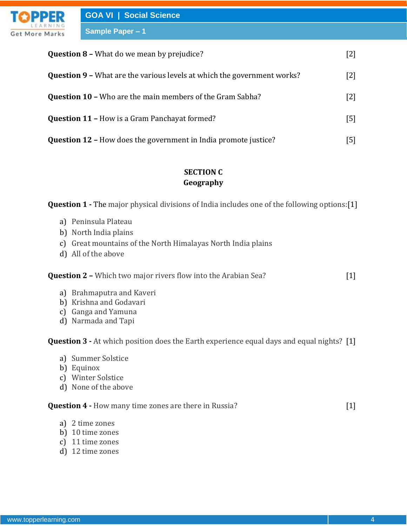| <b>PPER</b> | <b>GOA VI   Social Science</b>                                                 |                   |
|-------------|--------------------------------------------------------------------------------|-------------------|
| More Marks  | <b>Sample Paper - 1</b>                                                        |                   |
|             | <b>Question 8 - What do we mean by prejudice?</b>                              | $[2]$             |
|             | <b>Question 9 - What are the various levels at which the government works?</b> | $\lceil 2 \rceil$ |
|             | <b>Question 10 - Who are the main members of the Gram Sabha?</b>               | $\lceil 2 \rceil$ |
|             | <b>Question 11 - How is a Gram Panchayat formed?</b>                           |                   |

**Question 12 –** How does the government in India promote justice? [5]

#### **SECTION C Geography**

**Question 1 -** The major physical divisions of India includes one of the following options:[1]

a) Peninsula Plateau

Get

- b) North India plains
- c) Great mountains of the North Himalayas North India plains
- d) All of the above

**Question 2 –** Which two major rivers flow into the Arabian Sea? [1]

- a) Brahmaputra and Kaveri
- b) Krishna and Godavari
- c) Ganga and Yamuna
- d) Narmada and Tapi

**Question 3 -** At which position does the Earth experience equal days and equal nights? [1]

- a) Summer Solstice
- b) Equinox
- c) Winter Solstice
- d) None of the above

## **Question 4 -** How many time zones are there in Russia? [1]

- a) 2 time zones
- b) 10 time zones
- c) 11 time zones
- d) 12 time zones